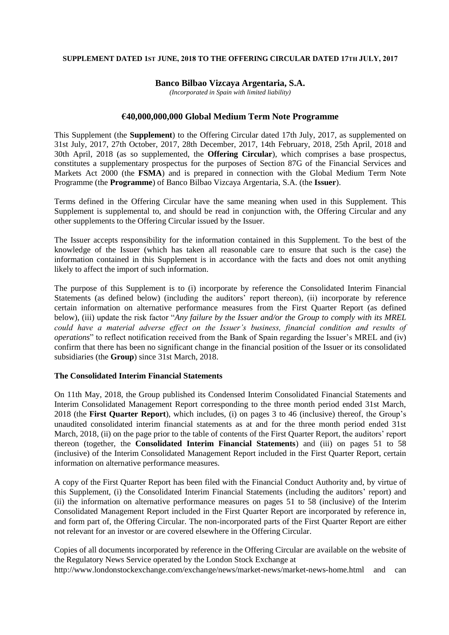#### **SUPPLEMENT DATED 1ST JUNE, 2018 TO THE OFFERING CIRCULAR DATED 17TH JULY, 2017**

### **Banco Bilbao Vizcaya Argentaria, S.A.**

*(Incorporated in Spain with limited liability)*

### **€40,000,000,000 Global Medium Term Note Programme**

This Supplement (the **Supplement**) to the Offering Circular dated 17th July, 2017, as supplemented on 31st July, 2017, 27th October, 2017, 28th December, 2017, 14th February, 2018, 25th April, 2018 and 30th April, 2018 (as so supplemented, the **Offering Circular**), which comprises a base prospectus, constitutes a supplementary prospectus for the purposes of Section 87G of the Financial Services and Markets Act 2000 (the **FSMA**) and is prepared in connection with the Global Medium Term Note Programme (the **Programme**) of Banco Bilbao Vizcaya Argentaria, S.A. (the **Issuer**).

Terms defined in the Offering Circular have the same meaning when used in this Supplement. This Supplement is supplemental to, and should be read in conjunction with, the Offering Circular and any other supplements to the Offering Circular issued by the Issuer.

The Issuer accepts responsibility for the information contained in this Supplement. To the best of the knowledge of the Issuer (which has taken all reasonable care to ensure that such is the case) the information contained in this Supplement is in accordance with the facts and does not omit anything likely to affect the import of such information.

The purpose of this Supplement is to (i) incorporate by reference the Consolidated Interim Financial Statements (as defined below) (including the auditors' report thereon), (ii) incorporate by reference certain information on alternative performance measures from the First Quarter Report (as defined below), (iii) update the risk factor "*Any failure by the Issuer and/or the Group to comply with its MREL could have a material adverse effect on the Issuer's business, financial condition and results of operations*" to reflect notification received from the Bank of Spain regarding the Issuer's MREL and (iv) confirm that there has been no significant change in the financial position of the Issuer or its consolidated subsidiaries (the **Group**) since 31st March, 2018.

## **The Consolidated Interim Financial Statements**

On 11th May, 2018, the Group published its Condensed Interim Consolidated Financial Statements and Interim Consolidated Management Report corresponding to the three month period ended 31st March, 2018 (the **First Quarter Report**), which includes, (i) on pages 3 to 46 (inclusive) thereof, the Group's unaudited consolidated interim financial statements as at and for the three month period ended 31st March, 2018, (ii) on the page prior to the table of contents of the First Quarter Report, the auditors' report thereon (together, the **Consolidated Interim Financial Statements**) and (iii) on pages 51 to 58 (inclusive) of the Interim Consolidated Management Report included in the First Quarter Report, certain information on alternative performance measures.

A copy of the First Quarter Report has been filed with the Financial Conduct Authority and, by virtue of this Supplement, (i) the Consolidated Interim Financial Statements (including the auditors' report) and (ii) the information on alternative performance measures on pages 51 to 58 (inclusive) of the Interim Consolidated Management Report included in the First Quarter Report are incorporated by reference in, and form part of, the Offering Circular. The non-incorporated parts of the First Quarter Report are either not relevant for an investor or are covered elsewhere in the Offering Circular.

Copies of all documents incorporated by reference in the Offering Circular are available on the website of the Regulatory News Service operated by the London Stock Exchange at http://www.londonstockexchange.com/exchange/news/market-news/market-news-home.html and can